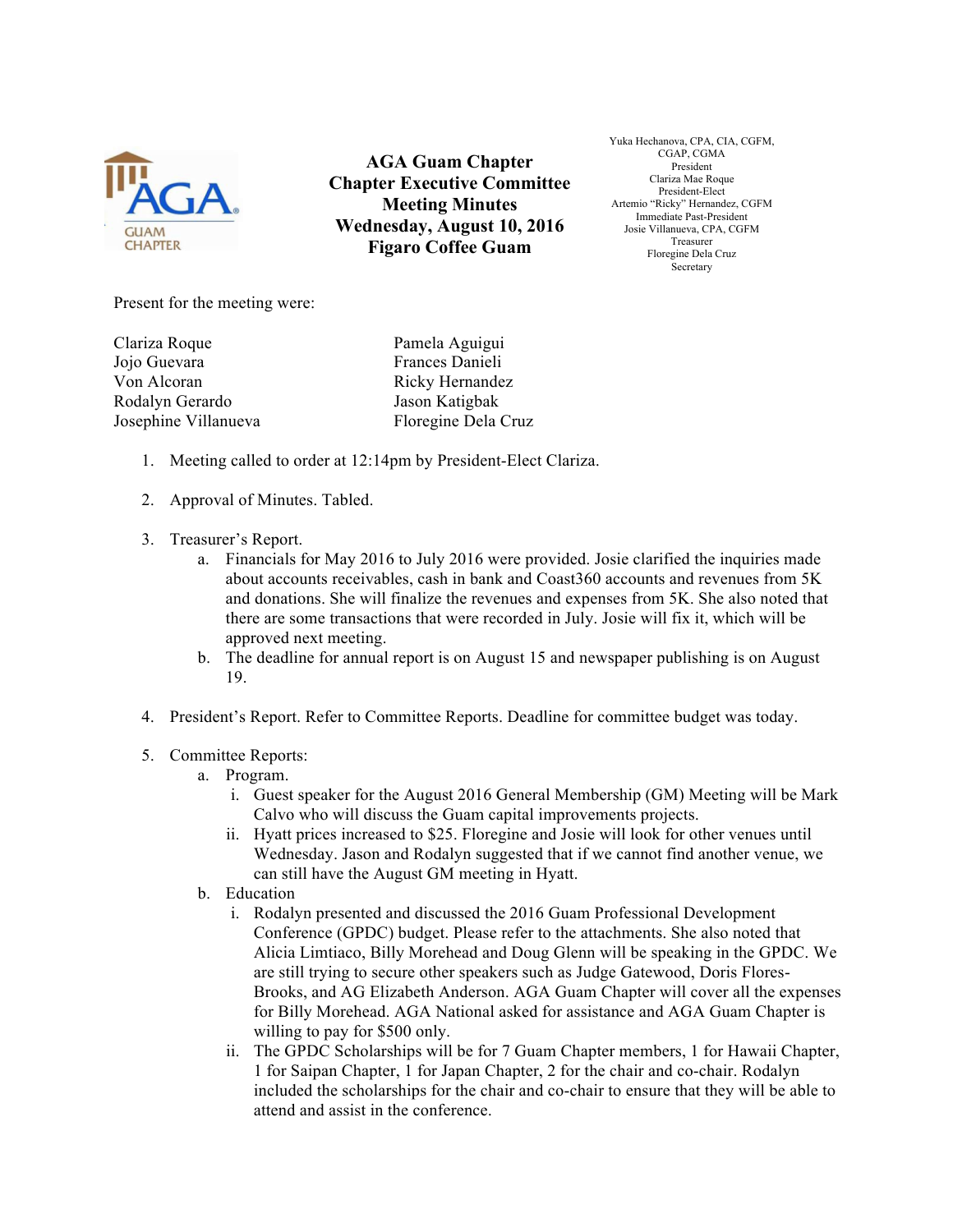

**AGA Guam Chapter Chapter Executive Committee Meeting Minutes Wednesday, August 10, 2016 Figaro Coffee Guam**

Yuka Hechanova, CPA, CIA, CGFM, CGAP, CGMA President Clariza Mae Roque President-Elect Artemio "Ricky" Hernandez, CGFM Immediate Past-President Josie Villanueva, CPA, CGFM Treasurer Floregine Dela Cruz Secretary

Present for the meeting were:

Clariza Roque Pamela Aguigui Jojo Guevara Frances Danieli Von Alcoran Ricky Hernandez Rodalyn Gerardo Jason Katigbak

Josephine Villanueva Floregine Dela Cruz

- 1. Meeting called to order at 12:14pm by President-Elect Clariza.
- 2. Approval of Minutes. Tabled.
- 3. Treasurer's Report.
	- a. Financials for May 2016 to July 2016 were provided. Josie clarified the inquiries made about accounts receivables, cash in bank and Coast360 accounts and revenues from 5K and donations. She will finalize the revenues and expenses from 5K. She also noted that there are some transactions that were recorded in July. Josie will fix it, which will be approved next meeting.
	- b. The deadline for annual report is on August 15 and newspaper publishing is on August 19.
- 4. President's Report. Refer to Committee Reports. Deadline for committee budget was today.
- 5. Committee Reports:
	- a. Program.
		- i. Guest speaker for the August 2016 General Membership (GM) Meeting will be Mark Calvo who will discuss the Guam capital improvements projects.
		- ii. Hyatt prices increased to \$25. Floregine and Josie will look for other venues until Wednesday. Jason and Rodalyn suggested that if we cannot find another venue, we can still have the August GM meeting in Hyatt.
	- b. Education
		- i. Rodalyn presented and discussed the 2016 Guam Professional Development Conference (GPDC) budget. Please refer to the attachments. She also noted that Alicia Limtiaco, Billy Morehead and Doug Glenn will be speaking in the GPDC. We are still trying to secure other speakers such as Judge Gatewood, Doris Flores-Brooks, and AG Elizabeth Anderson. AGA Guam Chapter will cover all the expenses for Billy Morehead. AGA National asked for assistance and AGA Guam Chapter is willing to pay for \$500 only.
		- ii. The GPDC Scholarships will be for 7 Guam Chapter members, 1 for Hawaii Chapter, 1 for Saipan Chapter, 1 for Japan Chapter, 2 for the chair and co-chair. Rodalyn included the scholarships for the chair and co-chair to ensure that they will be able to attend and assist in the conference.